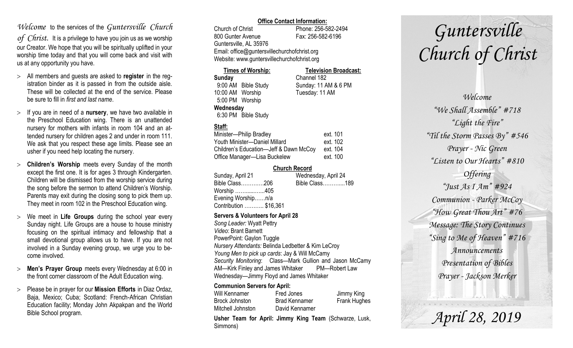### *Welcome* to the services of the *Guntersville Church*

*of Christ*. It is a privilege to have you join us as we worship our Creator. We hope that you will be spiritually uplifted in your worship time today and that you will come back and visit with us at any opportunity you have.

- All members and guests are asked to **register** in the registration binder as it is passed in from the outside aisle. These will be collected at the end of the service. Please be sure to fill in *first and last name*.
- $>$  If you are in need of a **nursery**, we have two available in the Preschool Education wing. There is an unattended nursery for mothers with infants in room 104 and an attended nursery for children ages 2 and under in room 111. We ask that you respect these age limits. Please see an usher if you need help locating the nursery.
- **Children's Worship** meets every Sunday of the month except the first one. It is for ages 3 through Kindergarten. Children will be dismissed from the worship service during the song before the sermon to attend Children's Worship. Parents may exit during the closing song to pick them up. They meet in room 102 in the Preschool Education wing.
- We meet in **Life Groups** during the school year every Sunday night. Life Groups are a house to house ministry focusing on the spiritual intimacy and fellowship that a small devotional group allows us to have. If you are not involved in a Sunday evening group, we urge you to become involved.
- **Men's Prayer Group** meets every Wednesday at 6:00 in the front corner classroom of the Adult Education wing.
- Please be in prayer for our **Mission Efforts** in Diaz Ordaz, Baja, Mexico; Cuba; Scotland: French-African Christian Education facility; Monday John Akpakpan and the World Bible School program.

#### **Office Contact Information:**

Church of Christ Phone: 256-582-2494 800 Gunter Avenue Fax: 256-582-6196 Guntersville, AL 35976 Email: office@guntersvillechurchofchrist.org Website: www.guntersvillechurchofchrist.org

| <b>Times of Worship:</b> |                     | <b>Television Broadcast:</b> |  |
|--------------------------|---------------------|------------------------------|--|
| Sunday                   |                     | Channel 182                  |  |
|                          | 9:00 AM Bible Study | Sunday: 11 AM & 6 PM         |  |
| 10:00 AM Worship         |                     | Tuesday: 11 AM               |  |
| 5:00 PM Worship          |                     |                              |  |
| Wednesday                |                     |                              |  |
|                          | 6:30 PM Bible Study |                              |  |

#### **Staff:**

| Minister-Philip Bradley                | ext. 101 |
|----------------------------------------|----------|
| Youth Minister-Daniel Millard          | ext. 102 |
| Children's Education-Jeff & Dawn McCoy | ext. 104 |
| Office Manager-Lisa Buckelew           | ext. 100 |

#### **Church Record**

|                        | Wednesday, April 24 |  |
|------------------------|---------------------|--|
| Bible Class206         | Bible Class189      |  |
| Worship 405            |                     |  |
| Evening Worshipn/a     |                     |  |
| Contribution  \$16,361 |                     |  |
|                        |                     |  |

#### **Servers & Volunteers for April 28**

*Song Leader:* Wyatt Pettry *Video*: Brant Barnett PowerPoint: Gaylon Tuggle *Nursery Attendants:* Belinda Ledbetter & Kim LeCroy *Young Men to pick up cards*: Jay & Will McCamy *Security Monitoring*: Class—Mark Gullion and Jason McCamy AM—Kirk Finley and James Whitaker PM—Robert Law Wednesday—Jimmy Floyd and James Whitaker

#### **Communion Servers for April:**

| Will Kennamer     | Fred Jones           | Jimmy King          |
|-------------------|----------------------|---------------------|
| Brock Johnston    | <b>Brad Kennamer</b> | <b>Frank Hughes</b> |
| Mitchell Johnston | David Kennamer       |                     |

**Usher Team for April: Jimmy King Team** (Schwarze, Lusk, Simmons)

# *Guntersville Church of Christ*

*Welcome "We Shall Assemble" #718 "Light the Fire" "Til the Storm Passes By" #546 Prayer - Nic Green "Listen to Our Hearts" #810 Offering "Just As I Am" #924 Communion - Parker McCoy "How Great Thou Art" #76 Message: The Story Continues "Sing to Me of Heaven" #716 Announcements Presentation of Bibles Prayer - Jackson Merker*

*April 28, 2019*